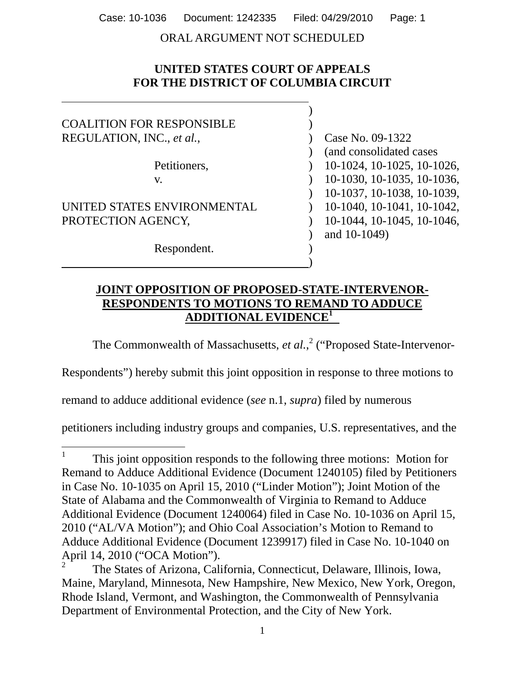ORAL ARGUMENT NOT SCHEDULED

# **UNITED STATES COURT OF APPEALS FOR THE DISTRICT OF COLUMBIA CIRCUIT**

 $\overline{a}$ 

| <b>COALITION FOR RESPONSIBLE</b> |                            |
|----------------------------------|----------------------------|
| REGULATION, INC., et al.,        | Case No. 09-1322           |
|                                  | (and consolidated cases)   |
| Petitioners,                     | 10-1024, 10-1025, 10-1026, |
| V.                               | 10-1030, 10-1035, 10-1036, |
|                                  | 10-1037, 10-1038, 10-1039, |
| UNITED STATES ENVIRONMENTAL      | 10-1040, 10-1041, 10-1042, |
| PROTECTION AGENCY,               | 10-1044, 10-1045, 10-1046, |
|                                  | and 10-1049)               |
| Respondent.                      |                            |
|                                  |                            |

## **JOINT OPPOSITION OF PROPOSED-STATE-INTERVENOR-RESPONDENTS TO MOTIONS TO REMAND TO ADDUCE ADDITIONAL EVIDENCE<sup>1</sup>**

The Commonwealth of Massachusetts, *et al.*,<sup>2</sup> ("Proposed State-Intervenor-

Respondents") hereby submit this joint opposition in response to three motions to

remand to adduce additional evidence (*see* n.1, *supra*) filed by numerous

petitioners including industry groups and companies, U.S. representatives, and the

<sup>&</sup>lt;sup>1</sup> This joint opposition responds to the following three motions: Motion for Remand to Adduce Additional Evidence (Document 1240105) filed by Petitioners in Case No. 10-1035 on April 15, 2010 ("Linder Motion"); Joint Motion of the State of Alabama and the Commonwealth of Virginia to Remand to Adduce Additional Evidence (Document 1240064) filed in Case No. 10-1036 on April 15, 2010 ("AL/VA Motion"); and Ohio Coal Association's Motion to Remand to Adduce Additional Evidence (Document 1239917) filed in Case No. 10-1040 on April 14, 2010 ("OCA Motion").

<sup>2</sup> The States of Arizona, California, Connecticut, Delaware, Illinois, Iowa, Maine, Maryland, Minnesota, New Hampshire, New Mexico, New York, Oregon, Rhode Island, Vermont, and Washington, the Commonwealth of Pennsylvania Department of Environmental Protection, and the City of New York.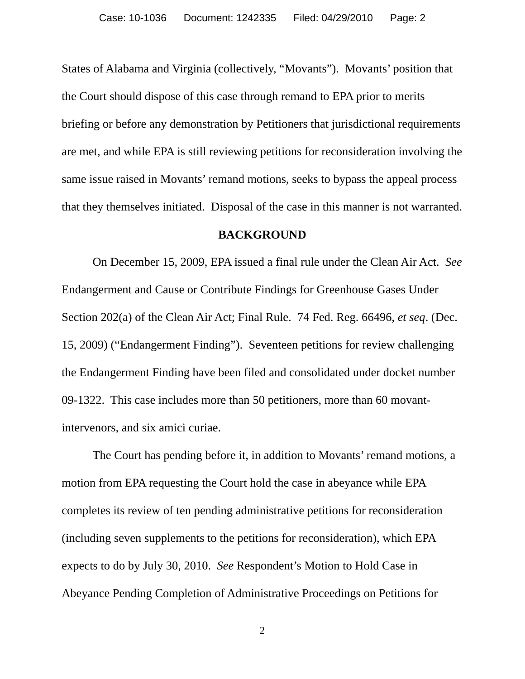States of Alabama and Virginia (collectively, "Movants"). Movants' position that the Court should dispose of this case through remand to EPA prior to merits briefing or before any demonstration by Petitioners that jurisdictional requirements are met, and while EPA is still reviewing petitions for reconsideration involving the same issue raised in Movants' remand motions, seeks to bypass the appeal process that they themselves initiated. Disposal of the case in this manner is not warranted.

### **BACKGROUND**

 On December 15, 2009, EPA issued a final rule under the Clean Air Act. *See* Endangerment and Cause or Contribute Findings for Greenhouse Gases Under Section 202(a) of the Clean Air Act; Final Rule. 74 Fed. Reg. 66496, *et seq*. (Dec. 15, 2009) ("Endangerment Finding"). Seventeen petitions for review challenging the Endangerment Finding have been filed and consolidated under docket number 09-1322. This case includes more than 50 petitioners, more than 60 movantintervenors, and six amici curiae.

 The Court has pending before it, in addition to Movants' remand motions, a motion from EPA requesting the Court hold the case in abeyance while EPA completes its review of ten pending administrative petitions for reconsideration (including seven supplements to the petitions for reconsideration), which EPA expects to do by July 30, 2010. *See* Respondent's Motion to Hold Case in Abeyance Pending Completion of Administrative Proceedings on Petitions for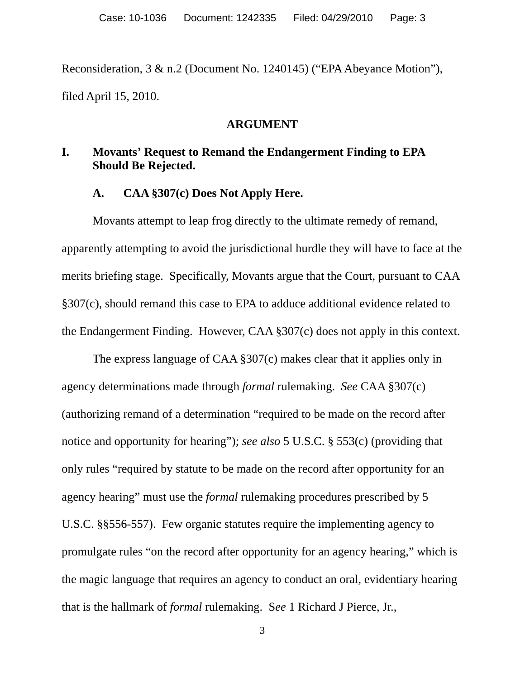Reconsideration, 3 & n.2 (Document No. 1240145) ("EPA Abeyance Motion"), filed April 15, 2010.

### **ARGUMENT**

# **I. Movants' Request to Remand the Endangerment Finding to EPA Should Be Rejected.**

## **A. CAA §307(c) Does Not Apply Here.**

 Movants attempt to leap frog directly to the ultimate remedy of remand, apparently attempting to avoid the jurisdictional hurdle they will have to face at the merits briefing stage. Specifically, Movants argue that the Court, pursuant to CAA §307(c), should remand this case to EPA to adduce additional evidence related to the Endangerment Finding. However, CAA §307(c) does not apply in this context.

 The express language of CAA §307(c) makes clear that it applies only in agency determinations made through *formal* rulemaking. *See* CAA §307(c) (authorizing remand of a determination "required to be made on the record after notice and opportunity for hearing"); *see also* 5 U.S.C. § 553(c) (providing that only rules "required by statute to be made on the record after opportunity for an agency hearing" must use the *formal* rulemaking procedures prescribed by 5 U.S.C. §§556-557). Few organic statutes require the implementing agency to promulgate rules "on the record after opportunity for an agency hearing," which is the magic language that requires an agency to conduct an oral, evidentiary hearing that is the hallmark of *formal* rulemaking. S*ee* 1 Richard J Pierce, Jr.,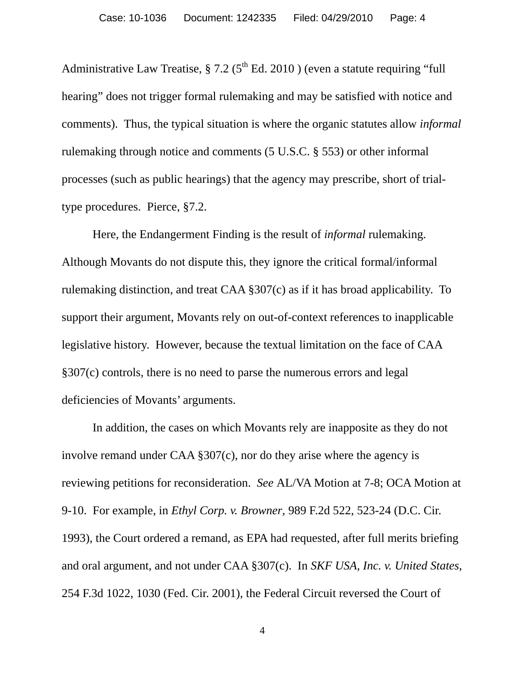Administrative Law Treatise,  $\S 7.2$  ( $5<sup>th</sup>$  Ed. 2010) (even a statute requiring "full hearing" does not trigger formal rulemaking and may be satisfied with notice and comments). Thus, the typical situation is where the organic statutes allow *informal* rulemaking through notice and comments (5 U.S.C. § 553) or other informal processes (such as public hearings) that the agency may prescribe, short of trialtype procedures. Pierce, §7.2.

 Here, the Endangerment Finding is the result of *informal* rulemaking. Although Movants do not dispute this, they ignore the critical formal/informal rulemaking distinction, and treat CAA §307(c) as if it has broad applicability. To support their argument, Movants rely on out-of-context references to inapplicable legislative history. However, because the textual limitation on the face of CAA §307(c) controls, there is no need to parse the numerous errors and legal deficiencies of Movants' arguments.

 In addition, the cases on which Movants rely are inapposite as they do not involve remand under CAA §307(c), nor do they arise where the agency is reviewing petitions for reconsideration. *See* AL/VA Motion at 7-8; OCA Motion at 9-10. For example, in *Ethyl Corp. v. Browner*, 989 F.2d 522, 523-24 (D.C. Cir. 1993), the Court ordered a remand, as EPA had requested, after full merits briefing and oral argument, and not under CAA §307(c). In *SKF USA, Inc. v. United States*, 254 F.3d 1022, 1030 (Fed. Cir. 2001), the Federal Circuit reversed the Court of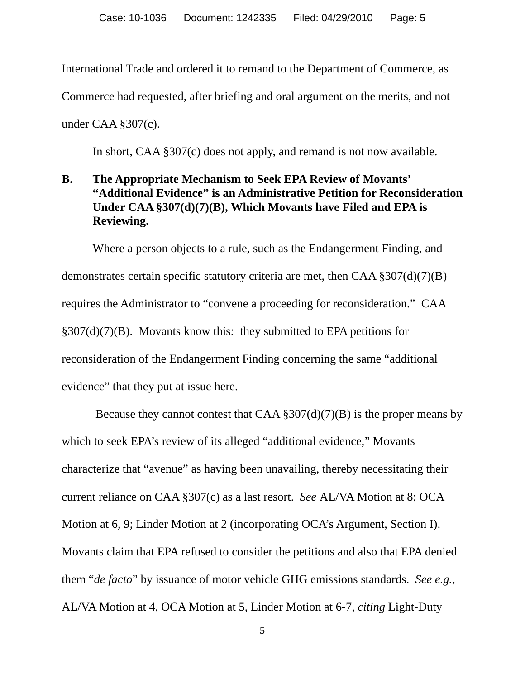International Trade and ordered it to remand to the Department of Commerce, as Commerce had requested, after briefing and oral argument on the merits, and not under CAA §307(c).

In short, CAA §307(c) does not apply, and remand is not now available.

# **B. The Appropriate Mechanism to Seek EPA Review of Movants' "Additional Evidence" is an Administrative Petition for Reconsideration Under CAA §307(d)(7)(B), Which Movants have Filed and EPA is Reviewing.**

 Where a person objects to a rule, such as the Endangerment Finding, and demonstrates certain specific statutory criteria are met, then CAA §307(d)(7)(B) requires the Administrator to "convene a proceeding for reconsideration." CAA §307(d)(7)(B). Movants know this: they submitted to EPA petitions for reconsideration of the Endangerment Finding concerning the same "additional evidence" that they put at issue here.

Because they cannot contest that CAA  $\S 307(d)(7)(B)$  is the proper means by which to seek EPA's review of its alleged "additional evidence," Movants characterize that "avenue" as having been unavailing, thereby necessitating their current reliance on CAA §307(c) as a last resort. *See* AL/VA Motion at 8; OCA Motion at 6, 9; Linder Motion at 2 (incorporating OCA's Argument, Section I). Movants claim that EPA refused to consider the petitions and also that EPA denied them "*de facto*" by issuance of motor vehicle GHG emissions standards. *See e.g.,*  AL/VA Motion at 4, OCA Motion at 5, Linder Motion at 6-7, *citing* Light-Duty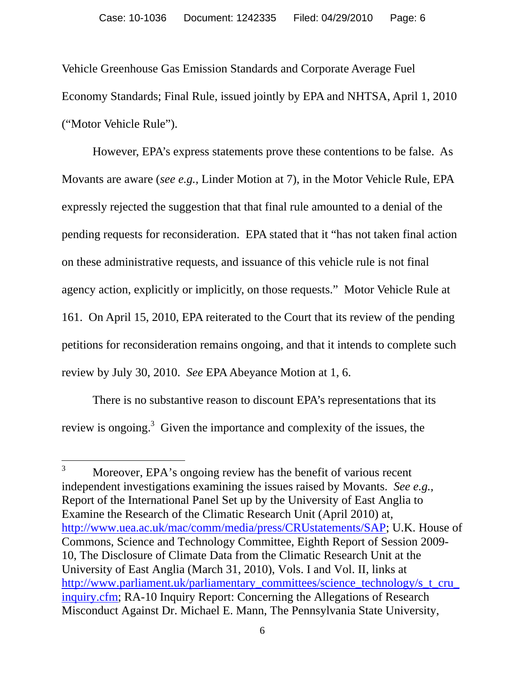Vehicle Greenhouse Gas Emission Standards and Corporate Average Fuel Economy Standards; Final Rule, issued jointly by EPA and NHTSA, April 1, 2010 ("Motor Vehicle Rule").

 However, EPA's express statements prove these contentions to be false. As Movants are aware (*see e.g.,* Linder Motion at 7), in the Motor Vehicle Rule, EPA expressly rejected the suggestion that that final rule amounted to a denial of the pending requests for reconsideration. EPA stated that it "has not taken final action on these administrative requests, and issuance of this vehicle rule is not final agency action, explicitly or implicitly, on those requests." Motor Vehicle Rule at 161. On April 15, 2010, EPA reiterated to the Court that its review of the pending petitions for reconsideration remains ongoing, and that it intends to complete such review by July 30, 2010. *See* EPA Abeyance Motion at 1, 6.

 There is no substantive reason to discount EPA's representations that its review is ongoing.<sup>3</sup> Given the importance and complexity of the issues, the

 $\overline{a}$ 

<sup>3</sup> Moreover, EPA's ongoing review has the benefit of various recent independent investigations examining the issues raised by Movants. *See e.g.,* Report of the International Panel Set up by the University of East Anglia to Examine the Research of the Climatic Research Unit (April 2010) at, http://www.uea.ac.uk/mac/comm/media/press/CRUstatements/SAP; U.K. House of Commons, Science and Technology Committee, Eighth Report of Session 2009- 10, The Disclosure of Climate Data from the Climatic Research Unit at the University of East Anglia (March 31, 2010), Vols. I and Vol. II, links at http://www.parliament.uk/parliamentary\_committees/science\_technology/s\_t\_cru inquiry.cfm; RA-10 Inquiry Report: Concerning the Allegations of Research Misconduct Against Dr. Michael E. Mann, The Pennsylvania State University,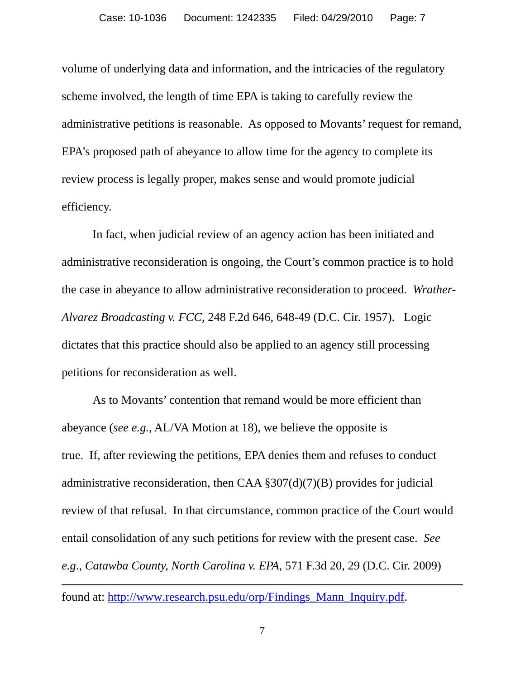volume of underlying data and information, and the intricacies of the regulatory scheme involved, the length of time EPA is taking to carefully review the administrative petitions is reasonable. As opposed to Movants' request for remand, EPA's proposed path of abeyance to allow time for the agency to complete its review process is legally proper, makes sense and would promote judicial efficiency.

 In fact, when judicial review of an agency action has been initiated and administrative reconsideration is ongoing, the Court's common practice is to hold the case in abeyance to allow administrative reconsideration to proceed. *Wrather-Alvarez Broadcasting v. FCC*, 248 F.2d 646, 648-49 (D.C. Cir. 1957). Logic dictates that this practice should also be applied to an agency still processing petitions for reconsideration as well.

 As to Movants' contention that remand would be more efficient than abeyance (*see e.g.*, AL/VA Motion at 18), we believe the opposite is true. If, after reviewing the petitions, EPA denies them and refuses to conduct administrative reconsideration, then CAA §307(d)(7)(B) provides for judicial review of that refusal. In that circumstance, common practice of the Court would entail consolidation of any such petitions for review with the present case. *See e.g*., *Catawba County, North Carolina v. EPA*, 571 F.3d 20, 29 (D.C. Cir. 2009)

 $\overline{a}$ 

found at: http://www.research.psu.edu/orp/Findings\_Mann\_Inquiry.pdf.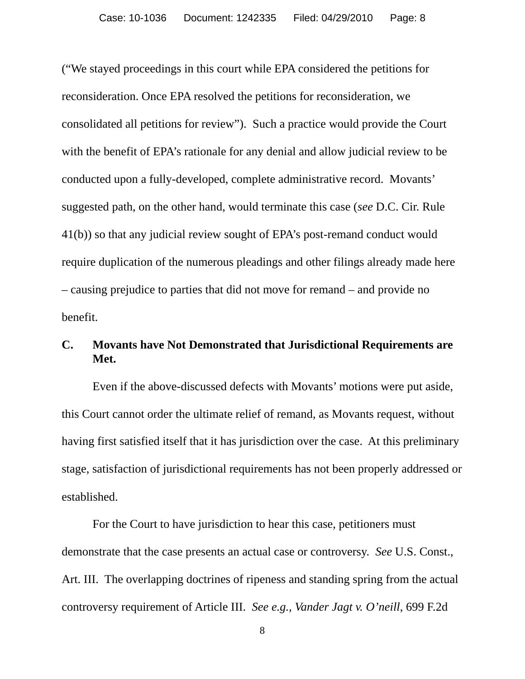("We stayed proceedings in this court while EPA considered the petitions for reconsideration. Once EPA resolved the petitions for reconsideration, we consolidated all petitions for review").Such a practice would provide the Court with the benefit of EPA's rationale for any denial and allow judicial review to be conducted upon a fully-developed, complete administrative record. Movants' suggested path, on the other hand, would terminate this case (*see* D.C. Cir. Rule 41(b)) so that any judicial review sought of EPA's post-remand conduct would require duplication of the numerous pleadings and other filings already made here – causing prejudice to parties that did not move for remand – and provide no benefit.

## **C. Movants have Not Demonstrated that Jurisdictional Requirements are Met.**

 Even if the above-discussed defects with Movants' motions were put aside, this Court cannot order the ultimate relief of remand, as Movants request, without having first satisfied itself that it has jurisdiction over the case. At this preliminary stage, satisfaction of jurisdictional requirements has not been properly addressed or established.

 For the Court to have jurisdiction to hear this case, petitioners must demonstrate that the case presents an actual case or controversy. *See* U.S. Const., Art. III. The overlapping doctrines of ripeness and standing spring from the actual controversy requirement of Article III. *See e.g., Vander Jagt v. O'neill*, 699 F.2d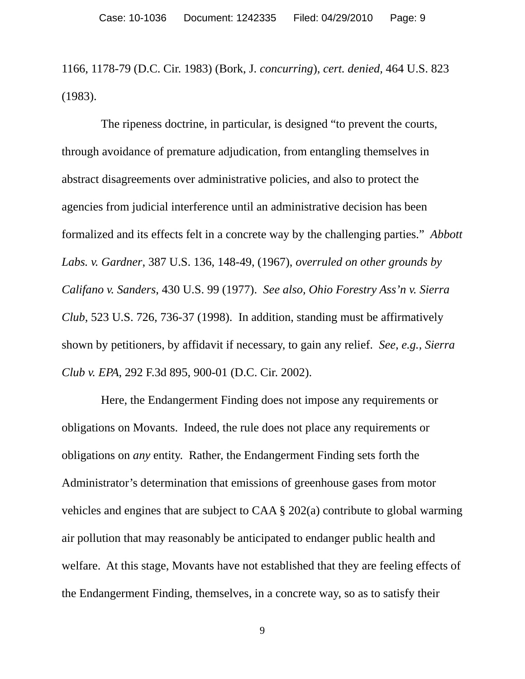1166, 1178-79 (D.C. Cir. 1983) (Bork, J. *concurring*), *cert. denied,* 464 U.S. 823 (1983).

 The ripeness doctrine, in particular, is designed "to prevent the courts, through avoidance of premature adjudication, from entangling themselves in abstract disagreements over administrative policies, and also to protect the agencies from judicial interference until an administrative decision has been formalized and its effects felt in a concrete way by the challenging parties." *Abbott Labs. v. Gardner*, 387 U.S. 136, 148-49, (1967), *overruled on other grounds by Califano v. Sanders*, 430 U.S. 99 (1977). *See also, Ohio Forestry Ass'n v. Sierra Club*, 523 U.S. 726, 736-37 (1998). In addition, standing must be affirmatively shown by petitioners, by affidavit if necessary, to gain any relief. *See, e.g., Sierra Club v. EPA*, 292 F.3d 895, 900-01 (D.C. Cir. 2002).

 Here, the Endangerment Finding does not impose any requirements or obligations on Movants. Indeed, the rule does not place any requirements or obligations on *any* entity. Rather, the Endangerment Finding sets forth the Administrator's determination that emissions of greenhouse gases from motor vehicles and engines that are subject to CAA § 202(a) contribute to global warming air pollution that may reasonably be anticipated to endanger public health and welfare. At this stage, Movants have not established that they are feeling effects of the Endangerment Finding, themselves, in a concrete way, so as to satisfy their

9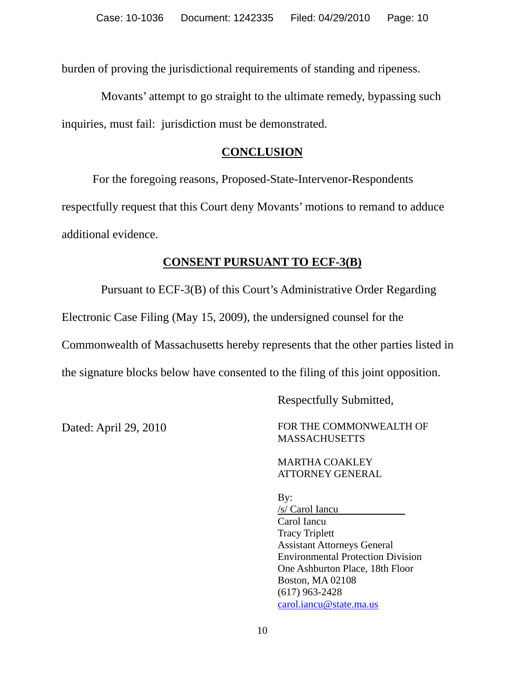burden of proving the jurisdictional requirements of standing and ripeness.

 Movants' attempt to go straight to the ultimate remedy, bypassing such inquiries, must fail: jurisdiction must be demonstrated.

### **CONCLUSION**

 For the foregoing reasons, Proposed-State-Intervenor-Respondents respectfully request that this Court deny Movants' motions to remand to adduce additional evidence.

## **CONSENT PURSUANT TO ECF-3(B)**

 Pursuant to ECF-3(B) of this Court's Administrative Order Regarding Electronic Case Filing (May 15, 2009), the undersigned counsel for the Commonwealth of Massachusetts hereby represents that the other parties listed in the signature blocks below have consented to the filing of this joint opposition.

Respectfully Submitted,

Dated: April 29, 2010 FOR THE COMMONWEALTH OF MASSACHUSETTS

> MARTHA COAKLEY ATTORNEY GENERAL

By:

/s/ Carol Iancu Carol Iancu Tracy Triplett Assistant Attorneys General Environmental Protection Division One Ashburton Place, 18th Floor Boston, MA 02108 (617) 963-2428 carol.iancu@state.ma.us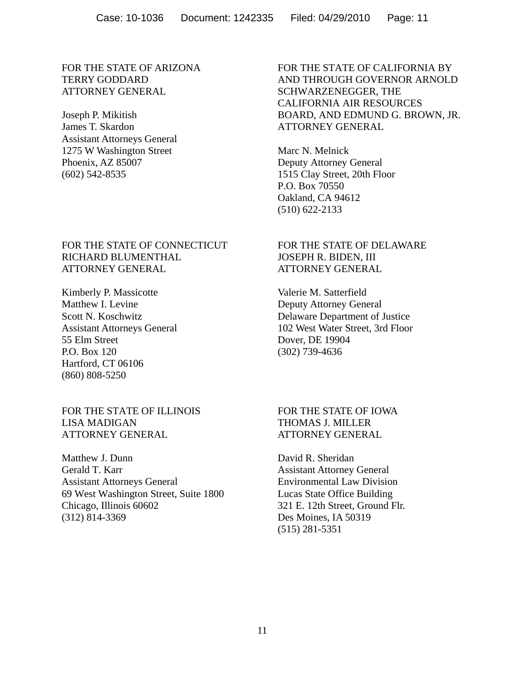#### FOR THE STATE OF ARIZONA TERRY GODDARD ATTORNEY GENERAL

Joseph P. Mikitish James T. Skardon Assistant Attorneys General 1275 W Washington Street Phoenix, AZ 85007 (602) 542-8535

#### FOR THE STATE OF CONNECTICUT RICHARD BLUMENTHAL ATTORNEY GENERAL

Kimberly P. Massicotte Matthew I. Levine Scott N. Koschwitz Assistant Attorneys General 55 Elm Street P.O. Box 120 Hartford, CT 06106 (860) 808-5250

FOR THE STATE OF ILLINOIS LISA MADIGAN ATTORNEY GENERAL

Matthew J. Dunn Gerald T. Karr Assistant Attorneys General 69 West Washington Street, Suite 1800 Chicago, Illinois 60602 (312) 814-3369

 FOR THE STATE OF CALIFORNIA BY AND THROUGH GOVERNOR ARNOLD SCHWARZENEGGER, THE CALIFORNIA AIR RESOURCES BOARD, AND EDMUND G. BROWN, JR. ATTORNEY GENERAL

Marc N. Melnick Deputy Attorney General 1515 Clay Street, 20th Floor P.O. Box 70550 Oakland, CA 94612 (510) 622-2133

#### FOR THE STATE OF DELAWARE JOSEPH R. BIDEN, III ATTORNEY GENERAL

Valerie M. Satterfield Deputy Attorney General Delaware Department of Justice 102 West Water Street, 3rd Floor Dover, DE 19904 (302) 739-4636

 FOR THE STATE OF IOWA THOMAS J. MILLER ATTORNEY GENERAL

David R. Sheridan Assistant Attorney General Environmental Law Division Lucas State Office Building 321 E. 12th Street, Ground Flr. Des Moines, IA 50319 (515) 281-5351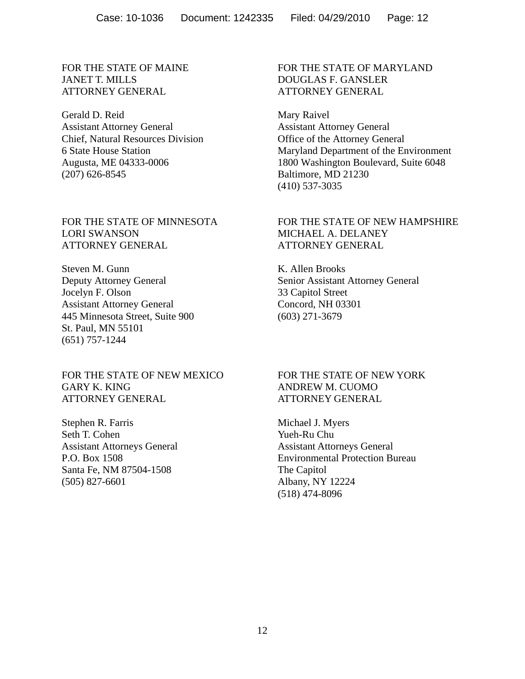FOR THE STATE OF MAINE JANET T. MILLS ATTORNEY GENERAL

Gerald D. Reid Assistant Attorney General Chief, Natural Resources Division 6 State House Station Augusta, ME 04333-0006 (207) 626-8545

FOR THE STATE OF MINNESOTA LORI SWANSON ATTORNEY GENERAL

Steven M. Gunn Deputy Attorney General Jocelyn F. Olson Assistant Attorney General 445 Minnesota Street, Suite 900 St. Paul, MN 55101 (651) 757-1244

FOR THE STATE OF NEW MEXICO GARY K. KING ATTORNEY GENERAL

Stephen R. Farris Seth T. Cohen Assistant Attorneys General P.O. Box 1508 Santa Fe, NM 87504-1508 (505) 827-6601

 FOR THE STATE OF MARYLAND DOUGLAS F. GANSLER ATTORNEY GENERAL

Mary Raivel Assistant Attorney General Office of the Attorney General Maryland Department of the Environment 1800 Washington Boulevard, Suite 6048 Baltimore, MD 21230 (410) 537-3035

#### FOR THE STATE OF NEW HAMPSHIRE MICHAEL A. DELANEY ATTORNEY GENERAL

K. Allen Brooks Senior Assistant Attorney General 33 Capitol Street Concord, NH 03301 (603) 271-3679

 FOR THE STATE OF NEW YORK ANDREW M. CUOMO ATTORNEY GENERAL

Michael J. Myers Yueh-Ru Chu Assistant Attorneys General Environmental Protection Bureau The Capitol Albany, NY 12224 (518) 474-8096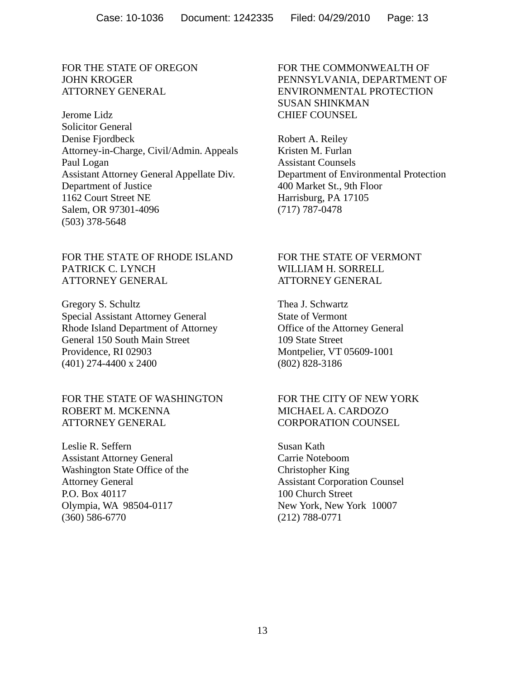#### FOR THE STATE OF OREGON JOHN KROGER ATTORNEY GENERAL

Jerome Lidz Solicitor General Denise Fjordbeck Attorney-in-Charge, Civil/Admin. Appeals Paul Logan Assistant Attorney General Appellate Div. Department of Justice 1162 Court Street NE Salem, OR 97301-4096 (503) 378-5648

FOR THE STATE OF RHODE ISLAND PATRICK C. LYNCH ATTORNEY GENERAL

Gregory S. Schultz Special Assistant Attorney General Rhode Island Department of Attorney General 150 South Main Street Providence, RI 02903 (401) 274-4400 x 2400

#### FOR THE STATE OF WASHINGTON ROBERT M. MCKENNA ATTORNEY GENERAL

Leslie R. Seffern Assistant Attorney General Washington State Office of the Attorney General P.O. Box 40117 Olympia, WA 98504-0117 (360) 586-6770

#### FOR THE COMMONWEALTH OF PENNSYLVANIA, DEPARTMENT OF ENVIRONMENTAL PROTECTION SUSAN SHINKMAN CHIEF COUNSEL

Robert A. Reiley Kristen M. Furlan Assistant Counsels Department of Environmental Protection 400 Market St., 9th Floor Harrisburg, PA 17105 (717) 787-0478

#### FOR THE STATE OF VERMONT WILLIAM H. SORRELL ATTORNEY GENERAL

Thea J. Schwartz State of Vermont Office of the Attorney General 109 State Street Montpelier, VT 05609-1001 (802) 828-3186

#### FOR THE CITY OF NEW YORK MICHAEL A. CARDOZO CORPORATION COUNSEL

Susan Kath Carrie Noteboom Christopher King Assistant Corporation Counsel 100 Church Street New York, New York 10007 (212) 788-0771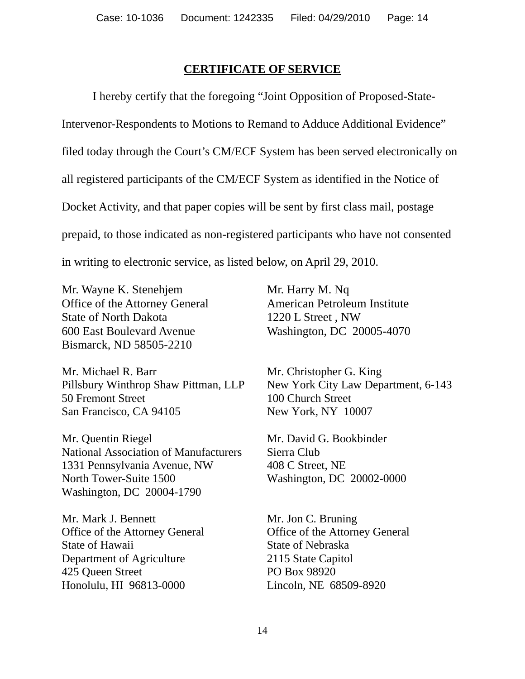## **CERTIFICATE OF SERVICE**

 I hereby certify that the foregoing "Joint Opposition of Proposed-State-Intervenor-Respondents to Motions to Remand to Adduce Additional Evidence" filed today through the Court's CM/ECF System has been served electronically on all registered participants of the CM/ECF System as identified in the Notice of Docket Activity, and that paper copies will be sent by first class mail, postage prepaid, to those indicated as non-registered participants who have not consented in writing to electronic service, as listed below, on April 29, 2010.

Mr. Wayne K. Stenehjem Office of the Attorney General State of North Dakota 600 East Boulevard Avenue Bismarck, ND 58505-2210

Mr. Michael R. Barr Pillsbury Winthrop Shaw Pittman, LLP 50 Fremont Street San Francisco, CA 94105

Mr. Quentin Riegel National Association of Manufacturers 1331 Pennsylvania Avenue, NW North Tower-Suite 1500 Washington, DC 20004-1790

Mr. Mark J. Bennett Office of the Attorney General State of Hawaii Department of Agriculture 425 Queen Street Honolulu, HI 96813-0000

Mr. Harry M. Nq American Petroleum Institute 1220 L Street , NW Washington, DC 20005-4070

Mr. Christopher G. King New York City Law Department, 6-143 100 Church Street New York, NY 10007

Mr. David G. Bookbinder Sierra Club 408 C Street, NE Washington, DC 20002-0000

Mr. Jon C. Bruning Office of the Attorney General State of Nebraska 2115 State Capitol PO Box 98920 Lincoln, NE 68509-8920